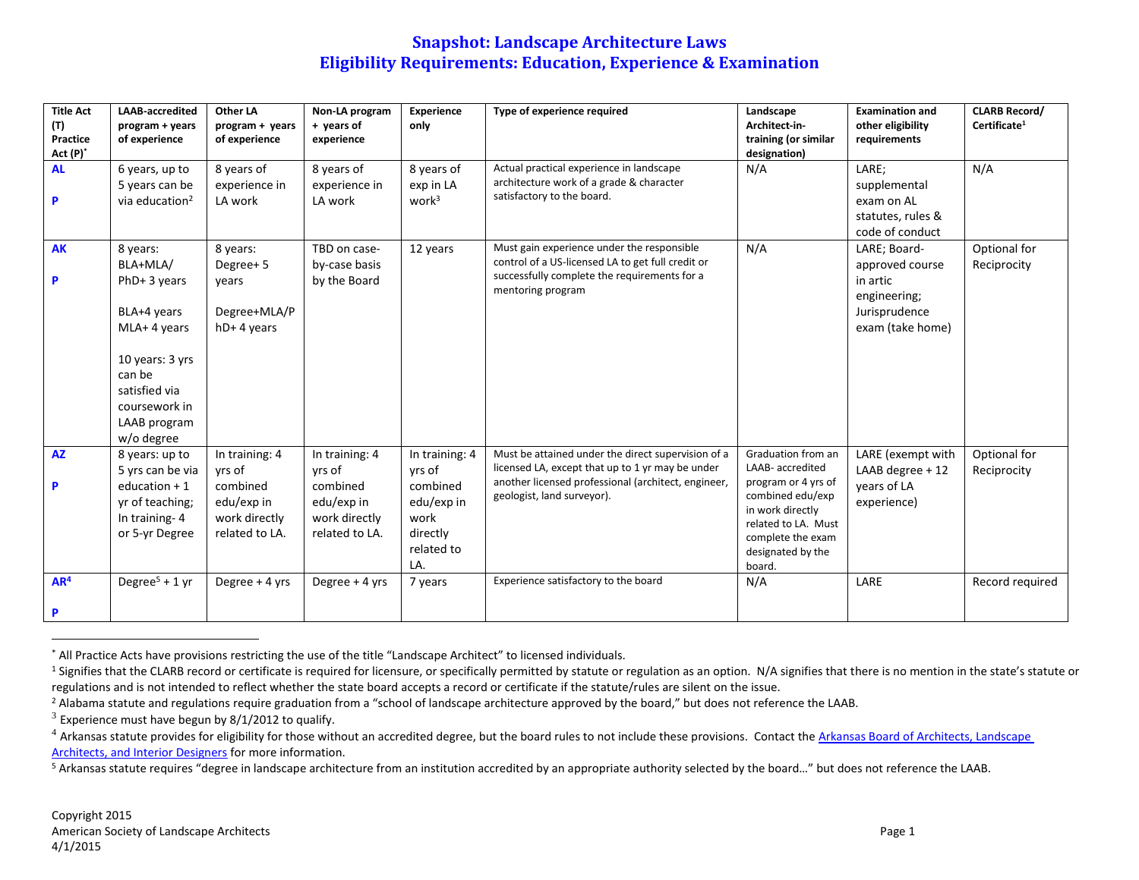| <b>Title Act</b><br>(T)<br>Practice<br>Act (P)* | <b>LAAB-accredited</b><br>program + years<br>of experience                                                                                                        | Other LA<br>program + years<br>of experience                                          | Non-LA program<br>+ years of<br>experience                                            | Experience<br>only                                                                          | Type of experience required                                                                                                                                                                 | Landscape<br>Architect-in-<br>training (or similar<br>designation)                                                                                                               | <b>Examination and</b><br>other eligibility<br>requirements                                      | <b>CLARB Record/</b><br>Certificate <sup>1</sup> |
|-------------------------------------------------|-------------------------------------------------------------------------------------------------------------------------------------------------------------------|---------------------------------------------------------------------------------------|---------------------------------------------------------------------------------------|---------------------------------------------------------------------------------------------|---------------------------------------------------------------------------------------------------------------------------------------------------------------------------------------------|----------------------------------------------------------------------------------------------------------------------------------------------------------------------------------|--------------------------------------------------------------------------------------------------|--------------------------------------------------|
| <b>AL</b><br>P                                  | 6 years, up to<br>5 years can be<br>via education <sup>2</sup>                                                                                                    | 8 years of<br>experience in<br>LA work                                                | 8 years of<br>experience in<br>LA work                                                | 8 years of<br>exp in LA<br>work <sup>3</sup>                                                | Actual practical experience in landscape<br>architecture work of a grade & character<br>satisfactory to the board.                                                                          | N/A                                                                                                                                                                              | LARE;<br>supplemental<br>exam on AL<br>statutes, rules &<br>code of conduct                      | N/A                                              |
| <b>AK</b><br>P                                  | 8 years:<br>BLA+MLA/<br>$PhD+3$ years<br>BLA+4 years<br>MLA+ 4 years<br>10 years: 3 yrs<br>can be<br>satisfied via<br>coursework in<br>LAAB program<br>w/o degree | 8 years:<br>Degree+5<br>years<br>Degree+MLA/P<br>hD+4 years                           | TBD on case-<br>by-case basis<br>by the Board                                         | 12 years                                                                                    | Must gain experience under the responsible<br>control of a US-licensed LA to get full credit or<br>successfully complete the requirements for a<br>mentoring program                        | N/A                                                                                                                                                                              | LARE; Board-<br>approved course<br>in artic<br>engineering;<br>Jurisprudence<br>exam (take home) | Optional for<br>Reciprocity                      |
| <b>AZ</b><br>P                                  | 8 years: up to<br>5 yrs can be via<br>education $+1$<br>yr of teaching;<br>In training-4<br>or 5-yr Degree                                                        | In training: 4<br>yrs of<br>combined<br>edu/exp in<br>work directly<br>related to LA. | In training: 4<br>yrs of<br>combined<br>edu/exp in<br>work directly<br>related to LA. | In training: 4<br>yrs of<br>combined<br>edu/exp in<br>work<br>directly<br>related to<br>LA. | Must be attained under the direct supervision of a<br>licensed LA, except that up to 1 yr may be under<br>another licensed professional (architect, engineer,<br>geologist, land surveyor). | Graduation from an<br>LAAB- accredited<br>program or 4 yrs of<br>combined edu/exp<br>in work directly<br>related to LA. Must<br>complete the exam<br>designated by the<br>board. | LARE (exempt with<br>LAAB degree + 12<br>years of LA<br>experience)                              | Optional for<br>Reciprocity                      |
| AR <sup>4</sup><br>P                            | Degree <sup>5</sup> + 1 yr                                                                                                                                        | Degree + 4 yrs                                                                        | Degree + 4 yrs                                                                        | 7 years                                                                                     | Experience satisfactory to the board                                                                                                                                                        | N/A                                                                                                                                                                              | LARE                                                                                             | Record required                                  |

<sup>\*</sup> All Practice Acts have provisions restricting the use of the title "Landscape Architect" to licensed individuals.

<sup>&</sup>lt;sup>1</sup> Signifies that the CLARB record or certificate is required for licensure, or specifically permitted by statute or regulation as an option. N/A signifies that there is no mention in the state's statute or regulations and is not intended to reflect whether the state board accepts a record or certificate if the statute/rules are silent on the issue.

<sup>&</sup>lt;sup>2</sup> Alabama statute and regulations require graduation from a "school of landscape architecture approved by the board," but does not reference the LAAB.

 $3$  Experience must have begun by 8/1/2012 to qualify.

 $4$  Arkansas statute provides for eligibility for those without an accredited degree, but the board rules to not include these provisions. Contact the Arkansas Board of Architects, Landscape [Architects, and Interior Designers](http://asbalaid.arkansas.gov/Pages/default.aspx) for more information.

<sup>5</sup> Arkansas statute requires "degree in landscape architecture from an institution accredited by an appropriate authority selected by the board…" but does not reference the LAAB.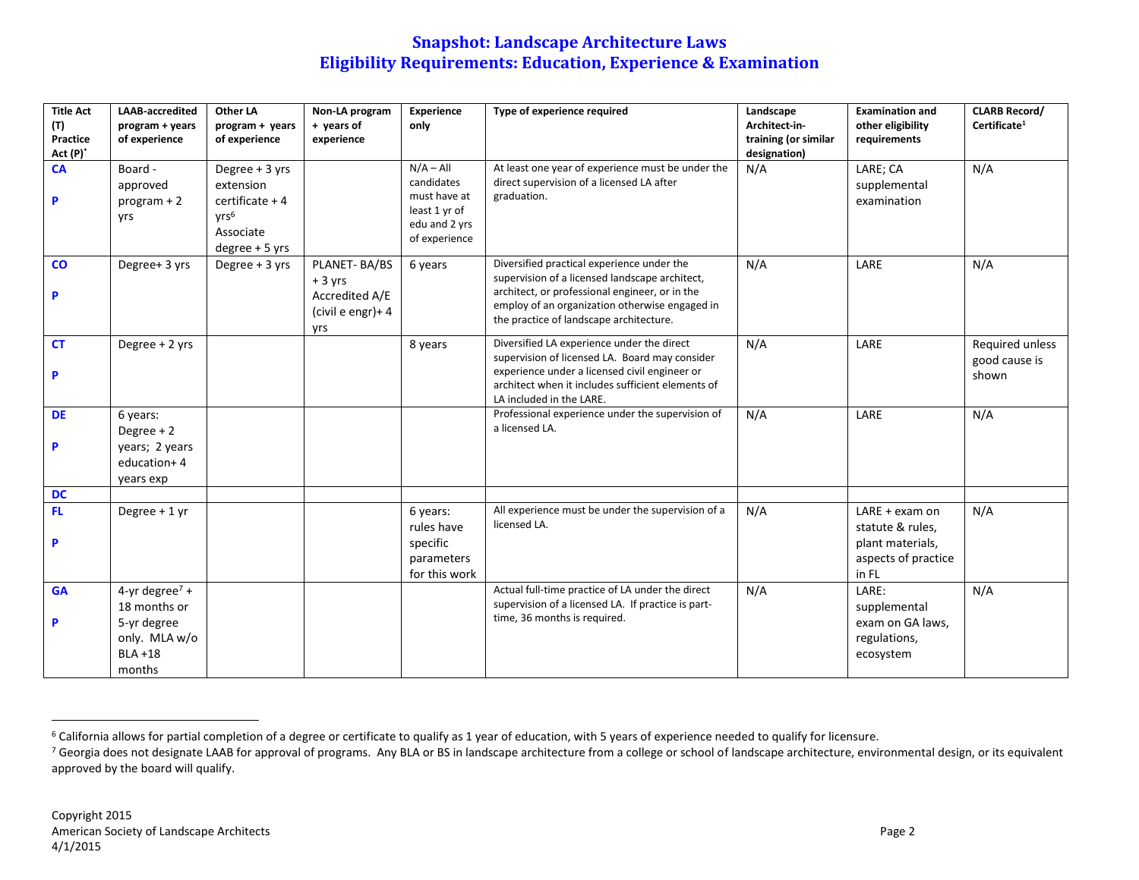| <b>Title Act</b><br>(T) | <b>LAAB-accredited</b><br>program + years                                                          | <b>Other LA</b><br>program + years                                                                     | Non-LA program<br>+ years of                                           | Experience<br>only                                                                           | Type of experience required                                                                                                                                                                                                                 | Landscape<br>Architect in            | <b>Examination and</b><br>other eligibility                                              | <b>CLARB Record/</b><br>Certificate <sup>1</sup> |
|-------------------------|----------------------------------------------------------------------------------------------------|--------------------------------------------------------------------------------------------------------|------------------------------------------------------------------------|----------------------------------------------------------------------------------------------|---------------------------------------------------------------------------------------------------------------------------------------------------------------------------------------------------------------------------------------------|--------------------------------------|------------------------------------------------------------------------------------------|--------------------------------------------------|
| Practice<br>Act (P)*    | of experience                                                                                      | of experience                                                                                          | experience                                                             |                                                                                              |                                                                                                                                                                                                                                             | training (or similar<br>designation) | requirements                                                                             |                                                  |
| <b>CA</b><br>P          | Board -<br>approved<br>$program + 2$<br>yrs                                                        | Degree + 3 yrs<br>extension<br>$c$ ertificate + 4<br>VTS <sup>6</sup><br>Associate<br>$degree + 5$ yrs |                                                                        | $N/A - All$<br>candidates<br>must have at<br>least 1 yr of<br>edu and 2 yrs<br>of experience | At least one year of experience must be under the<br>direct supervision of a licensed LA after<br>graduation.                                                                                                                               | N/A                                  | LARE; CA<br>supplemental<br>examination                                                  | N/A                                              |
| $\mathbf{CO}$<br>P      | Degree+ 3 yrs                                                                                      | Degree + 3 yrs                                                                                         | PLANET-BA/BS<br>$+3$ yrs<br>Accredited A/E<br>(civil e engr)+ 4<br>yrs | 6 years                                                                                      | Diversified practical experience under the<br>supervision of a licensed landscape architect,<br>architect, or professional engineer, or in the<br>employ of an organization otherwise engaged in<br>the practice of landscape architecture. | N/A                                  | LARE                                                                                     | N/A                                              |
| <b>CT</b><br>P          | Degree + 2 yrs                                                                                     |                                                                                                        |                                                                        | 8 years                                                                                      | Diversified LA experience under the direct<br>supervision of licensed LA. Board may consider<br>experience under a licensed civil engineer or<br>architect when it includes sufficient elements of<br>LA included in the LARE.              | N/A                                  | LARE                                                                                     | Required unless<br>good cause is<br>shown        |
| <b>DE</b><br>P          | 6 years:<br>Degree $+2$<br>years; 2 years<br>education+4<br>years exp                              |                                                                                                        |                                                                        |                                                                                              | Professional experience under the supervision of<br>a licensed LA.                                                                                                                                                                          | N/A                                  | LARE                                                                                     | N/A                                              |
| <b>DC</b>               |                                                                                                    |                                                                                                        |                                                                        |                                                                                              |                                                                                                                                                                                                                                             |                                      |                                                                                          |                                                  |
| FL<br>P                 | Degree + 1 yr                                                                                      |                                                                                                        |                                                                        | 6 years:<br>rules have<br>specific<br>parameters<br>for this work                            | All experience must be under the supervision of a<br>licensed LA.                                                                                                                                                                           | N/A                                  | $LARE + exam$ on<br>statute & rules,<br>plant materials,<br>aspects of practice<br>in FL | N/A                                              |
| <b>GA</b><br>P          | 4-yr degree <sup>7</sup> +<br>18 months or<br>5-yr degree<br>only. MLA w/o<br>$BLA + 18$<br>months |                                                                                                        |                                                                        |                                                                                              | Actual full-time practice of LA under the direct<br>supervision of a licensed LA. If practice is part-<br>time, 36 months is required.                                                                                                      | N/A                                  | LARE:<br>supplemental<br>exam on GA laws,<br>regulations,<br>ecosystem                   | N/A                                              |

<sup>&</sup>lt;sup>6</sup> California allows for partial completion of a degree or certificate to qualify as 1 year of education, with 5 years of experience needed to qualify for licensure.

<sup>&</sup>lt;sup>7</sup> Georgia does not designate LAAB for approval of programs. Any BLA or BS in landscape architecture from a college or school of landscape architecture, environmental design, or its equivalent approved by the board will qualify.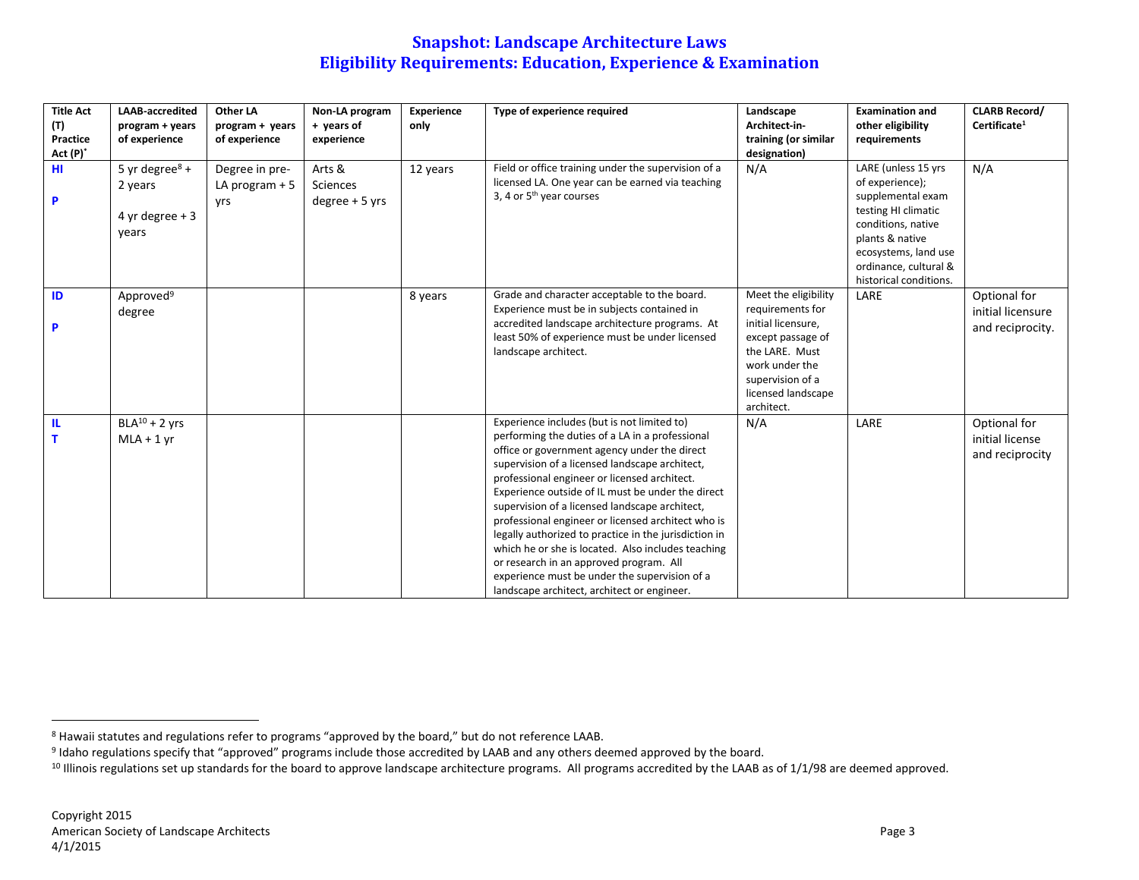| <b>Title Act</b><br>(T)<br>Practice<br>$Act(P)^*$ | <b>LAAB-accredited</b><br>program + years<br>of experience | Other LA<br>program + years<br>of experience | Non-LA program<br>+ years of<br>experience    | Experience<br>only | Type of experience required                                                                                                                                                                                                                                                                                                                                                                                                                                                                                                                                                                                                                                             | Landscape<br>Architect-in-<br>training (or similar<br>designation)                                                                                                              | <b>Examination and</b><br>other eligibility<br>requirements                                                                                                                                            | <b>CLARB Record/</b><br>Certificate <sup>1</sup>      |
|---------------------------------------------------|------------------------------------------------------------|----------------------------------------------|-----------------------------------------------|--------------------|-------------------------------------------------------------------------------------------------------------------------------------------------------------------------------------------------------------------------------------------------------------------------------------------------------------------------------------------------------------------------------------------------------------------------------------------------------------------------------------------------------------------------------------------------------------------------------------------------------------------------------------------------------------------------|---------------------------------------------------------------------------------------------------------------------------------------------------------------------------------|--------------------------------------------------------------------------------------------------------------------------------------------------------------------------------------------------------|-------------------------------------------------------|
| HI.<br>P                                          | 5 yr degree $8 +$<br>2 years<br>4 yr degree $+3$<br>years  | Degree in pre-<br>LA program $+5$<br>vrs     | Arts &<br><b>Sciences</b><br>$degree + 5$ yrs | 12 years           | Field or office training under the supervision of a<br>licensed LA. One year can be earned via teaching<br>3, 4 or 5 <sup>th</sup> year courses                                                                                                                                                                                                                                                                                                                                                                                                                                                                                                                         | N/A                                                                                                                                                                             | LARE (unless 15 yrs<br>of experience);<br>supplemental exam<br>testing HI climatic<br>conditions, native<br>plants & native<br>ecosystems, land use<br>ordinance, cultural &<br>historical conditions. | N/A                                                   |
| ID<br>P                                           | Approved <sup>9</sup><br>degree                            |                                              |                                               | 8 years            | Grade and character acceptable to the board.<br>Experience must be in subjects contained in<br>accredited landscape architecture programs. At<br>least 50% of experience must be under licensed<br>landscape architect.                                                                                                                                                                                                                                                                                                                                                                                                                                                 | Meet the eligibility<br>requirements for<br>initial licensure,<br>except passage of<br>the LARE. Must<br>work under the<br>supervision of a<br>licensed landscape<br>architect. | LARE                                                                                                                                                                                                   | Optional for<br>initial licensure<br>and reciprocity. |
| IL.<br>T.                                         | $BLA10 + 2$ yrs<br>$MLA + 1$ yr                            |                                              |                                               |                    | Experience includes (but is not limited to)<br>performing the duties of a LA in a professional<br>office or government agency under the direct<br>supervision of a licensed landscape architect,<br>professional engineer or licensed architect.<br>Experience outside of IL must be under the direct<br>supervision of a licensed landscape architect,<br>professional engineer or licensed architect who is<br>legally authorized to practice in the jurisdiction in<br>which he or she is located. Also includes teaching<br>or research in an approved program. All<br>experience must be under the supervision of a<br>landscape architect, architect or engineer. | N/A                                                                                                                                                                             | LARE                                                                                                                                                                                                   | Optional for<br>initial license<br>and reciprocity    |

<sup>8</sup> Hawaii statutes and regulations refer to programs "approved by the board," but do not reference LAAB.

<sup>&</sup>lt;sup>9</sup> Idaho regulations specify that "approved" programs include those accredited by LAAB and any others deemed approved by the board.

<sup>&</sup>lt;sup>10</sup> Illinois regulations set up standards for the board to approve landscape architecture programs. All programs accredited by the LAAB as of 1/1/98 are deemed approved.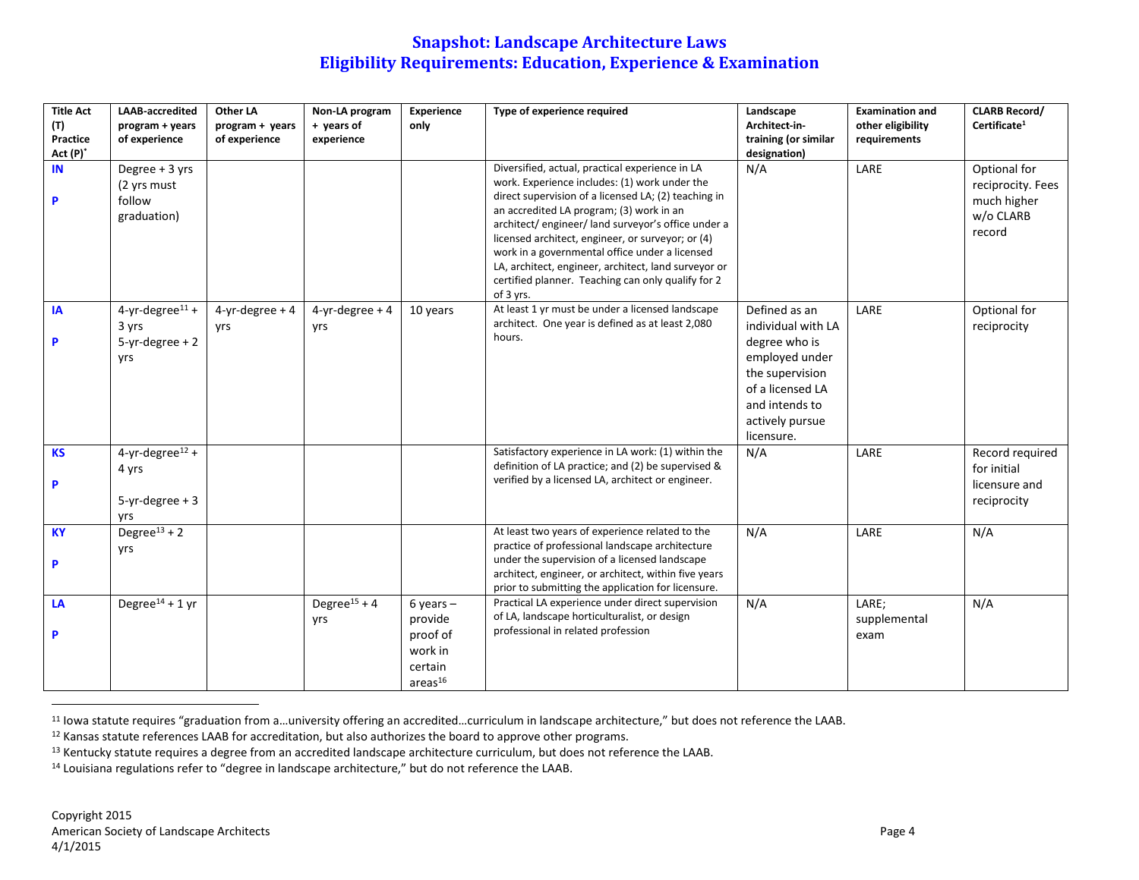| <b>Title Act</b><br>(T)<br>Practice<br>Act (P)* | <b>LAAB-accredited</b><br>program + years<br>of experience           | Other LA<br>program + years<br>of experience | Non-LA program<br>+ years of<br>experience | Experience<br>only                                                               | Type of experience required                                                                                                                                                                                                                                                                                                                                                                                                                                                                 | Landscape<br>Architect-in-<br>training (or similar<br>designation)                                                                                               | <b>Examination and</b><br>other eligibility<br>requirements | <b>CLARB Record/</b><br>Certificate <sup>1</sup>                        |
|-------------------------------------------------|----------------------------------------------------------------------|----------------------------------------------|--------------------------------------------|----------------------------------------------------------------------------------|---------------------------------------------------------------------------------------------------------------------------------------------------------------------------------------------------------------------------------------------------------------------------------------------------------------------------------------------------------------------------------------------------------------------------------------------------------------------------------------------|------------------------------------------------------------------------------------------------------------------------------------------------------------------|-------------------------------------------------------------|-------------------------------------------------------------------------|
| IN<br>P                                         | Degree + 3 yrs<br>(2 yrs must<br>follow<br>graduation)               |                                              |                                            |                                                                                  | Diversified, actual, practical experience in LA<br>work. Experience includes: (1) work under the<br>direct supervision of a licensed LA; (2) teaching in<br>an accredited LA program; (3) work in an<br>architect/engineer/land surveyor's office under a<br>licensed architect, engineer, or surveyor; or (4)<br>work in a governmental office under a licensed<br>LA, architect, engineer, architect, land surveyor or<br>certified planner. Teaching can only qualify for 2<br>of 3 yrs. | N/A                                                                                                                                                              | LARE                                                        | Optional for<br>reciprocity. Fees<br>much higher<br>w/o CLARB<br>record |
| IA<br>P                                         | $4$ -yr-degree <sup>11</sup> +<br>3 yrs<br>$5-yr$ -degree + 2<br>yrs | $4-yr$ -degree + 4<br>yrs                    | $4$ -yr-degree + 4<br>yrs                  | 10 years                                                                         | At least 1 yr must be under a licensed landscape<br>architect. One year is defined as at least 2,080<br>hours.                                                                                                                                                                                                                                                                                                                                                                              | Defined as an<br>individual with LA<br>degree who is<br>employed under<br>the supervision<br>of a licensed LA<br>and intends to<br>actively pursue<br>licensure. | LARE                                                        | Optional for<br>reciprocity                                             |
| <b>KS</b><br>P                                  | $4-yr-degree12 +$<br>4 yrs<br>$5-yr$ -degree + 3<br>yrs              |                                              |                                            |                                                                                  | Satisfactory experience in LA work: (1) within the<br>definition of LA practice; and (2) be supervised &<br>verified by a licensed LA, architect or engineer.                                                                                                                                                                                                                                                                                                                               | N/A                                                                                                                                                              | LARE                                                        | Record required<br>for initial<br>licensure and<br>reciprocity          |
| <b>KY</b><br>P                                  | Degree <sup>13</sup> + 2<br>yrs                                      |                                              |                                            |                                                                                  | At least two years of experience related to the<br>practice of professional landscape architecture<br>under the supervision of a licensed landscape<br>architect, engineer, or architect, within five years<br>prior to submitting the application for licensure.                                                                                                                                                                                                                           | N/A                                                                                                                                                              | LARE                                                        | N/A                                                                     |
| LA<br>P                                         | Degree <sup>14</sup> + 1 yr                                          |                                              | Degree <sup>15</sup> + 4<br>yrs            | $6$ years $-$<br>provide<br>proof of<br>work in<br>certain<br>area <sup>16</sup> | Practical LA experience under direct supervision<br>of LA, landscape horticulturalist, or design<br>professional in related profession                                                                                                                                                                                                                                                                                                                                                      | N/A                                                                                                                                                              | LARE;<br>supplemental<br>exam                               | N/A                                                                     |

<sup>11</sup> Iowa statute requires "graduation from a…university offering an accredited…curriculum in landscape architecture," but does not reference the LAAB.

<sup>12</sup> Kansas statute references LAAB for accreditation, but also authorizes the board to approve other programs.

<sup>13</sup> Kentucky statute requires a degree from an accredited landscape architecture curriculum, but does not reference the LAAB.

<sup>14</sup> Louisiana regulations refer to "degree in landscape architecture," but do not reference the LAAB.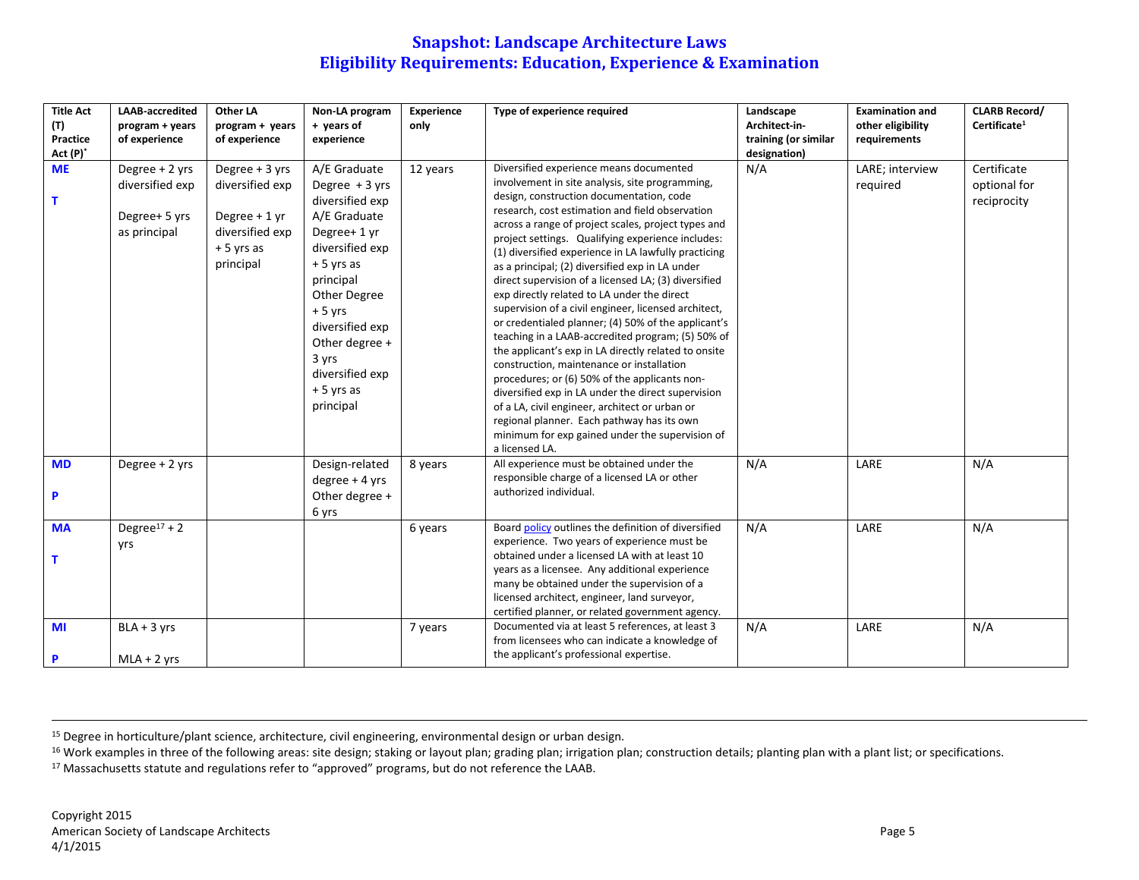| <b>Title Act</b> | LAAB-accredited          | Other LA        | Non-LA program   | <b>Experience</b> | Type of experience required                                            | Landscape            | <b>Examination and</b> | <b>CLARB Record/</b>     |
|------------------|--------------------------|-----------------|------------------|-------------------|------------------------------------------------------------------------|----------------------|------------------------|--------------------------|
| (T)              | program + years          | program + years | + years of       | only              |                                                                        | Architect-in-        | other eligibility      | Certificate <sup>1</sup> |
| Practice         | of experience            | of experience   | experience       |                   |                                                                        | training (or similar | requirements           |                          |
| $Act(P)^*$       |                          |                 |                  |                   |                                                                        | designation)         |                        |                          |
| <b>ME</b>        | Degree + 2 yrs           | Degree + 3 yrs  | A/E Graduate     | 12 years          | Diversified experience means documented                                | N/A                  | LARE; interview        | Certificate              |
|                  | diversified exp          | diversified exp | Degree $+3$ yrs  |                   | involvement in site analysis, site programming,                        |                      | required               | optional for             |
| т                |                          |                 | diversified exp  |                   | design, construction documentation, code                               |                      |                        | reciprocity              |
|                  | Degree+ 5 yrs            | Degree $+1$ yr  | A/E Graduate     |                   | research, cost estimation and field observation                        |                      |                        |                          |
|                  | as principal             | diversified exp | Degree+ 1 yr     |                   | across a range of project scales, project types and                    |                      |                        |                          |
|                  |                          |                 |                  |                   | project settings. Qualifying experience includes:                      |                      |                        |                          |
|                  |                          | $+5$ yrs as     | diversified exp  |                   | (1) diversified experience in LA lawfully practicing                   |                      |                        |                          |
|                  |                          | principal       | $+5$ yrs as      |                   | as a principal; (2) diversified exp in LA under                        |                      |                        |                          |
|                  |                          |                 | principal        |                   | direct supervision of a licensed LA; (3) diversified                   |                      |                        |                          |
|                  |                          |                 | Other Degree     |                   | exp directly related to LA under the direct                            |                      |                        |                          |
|                  |                          |                 | $+5$ yrs         |                   | supervision of a civil engineer, licensed architect,                   |                      |                        |                          |
|                  |                          |                 | diversified exp  |                   | or credentialed planner; (4) 50% of the applicant's                    |                      |                        |                          |
|                  |                          |                 | Other degree +   |                   | teaching in a LAAB-accredited program; (5) 50% of                      |                      |                        |                          |
|                  |                          |                 | 3 yrs            |                   | the applicant's exp in LA directly related to onsite                   |                      |                        |                          |
|                  |                          |                 | diversified exp  |                   | construction, maintenance or installation                              |                      |                        |                          |
|                  |                          |                 | $+5$ yrs as      |                   | procedures; or (6) 50% of the applicants non-                          |                      |                        |                          |
|                  |                          |                 |                  |                   | diversified exp in LA under the direct supervision                     |                      |                        |                          |
|                  |                          |                 | principal        |                   | of a LA, civil engineer, architect or urban or                         |                      |                        |                          |
|                  |                          |                 |                  |                   | regional planner. Each pathway has its own                             |                      |                        |                          |
|                  |                          |                 |                  |                   | minimum for exp gained under the supervision of                        |                      |                        |                          |
|                  |                          |                 |                  |                   | a licensed LA.                                                         |                      |                        |                          |
| <b>MD</b>        | Degree + 2 yrs           |                 | Design-related   | 8 years           | All experience must be obtained under the                              | N/A                  | LARE                   | N/A                      |
|                  |                          |                 | $degree + 4$ yrs |                   | responsible charge of a licensed LA or other<br>authorized individual. |                      |                        |                          |
| P                |                          |                 | Other degree +   |                   |                                                                        |                      |                        |                          |
|                  |                          |                 | 6 yrs            |                   |                                                                        |                      |                        |                          |
| <b>MA</b>        | Degree <sup>17</sup> + 2 |                 |                  | 6 years           | Board policy outlines the definition of diversified                    | N/A                  | LARE                   | N/A                      |
|                  | yrs                      |                 |                  |                   | experience. Two years of experience must be                            |                      |                        |                          |
| т                |                          |                 |                  |                   | obtained under a licensed LA with at least 10                          |                      |                        |                          |
|                  |                          |                 |                  |                   | years as a licensee. Any additional experience                         |                      |                        |                          |
|                  |                          |                 |                  |                   | many be obtained under the supervision of a                            |                      |                        |                          |
|                  |                          |                 |                  |                   | licensed architect, engineer, land surveyor,                           |                      |                        |                          |
|                  |                          |                 |                  |                   | certified planner, or related government agency.                       |                      |                        |                          |
| MI               | $BLA + 3$ yrs            |                 |                  | 7 years           | Documented via at least 5 references, at least 3                       | N/A                  | LARE                   | N/A                      |
|                  |                          |                 |                  |                   | from licensees who can indicate a knowledge of                         |                      |                        |                          |
| P                | $MLA + 2$ yrs            |                 |                  |                   | the applicant's professional expertise.                                |                      |                        |                          |

<sup>15</sup> Degree in horticulture/plant science, architecture, civil engineering, environmental design or urban design.

<sup>16</sup> Work examples in three of the following areas: site design; staking or layout plan; grading plan; irrigation plan; construction details; planting plan with a plant list; or specifications.

<sup>17</sup> Massachusetts statute and regulations refer to "approved" programs, but do not reference the LAAB.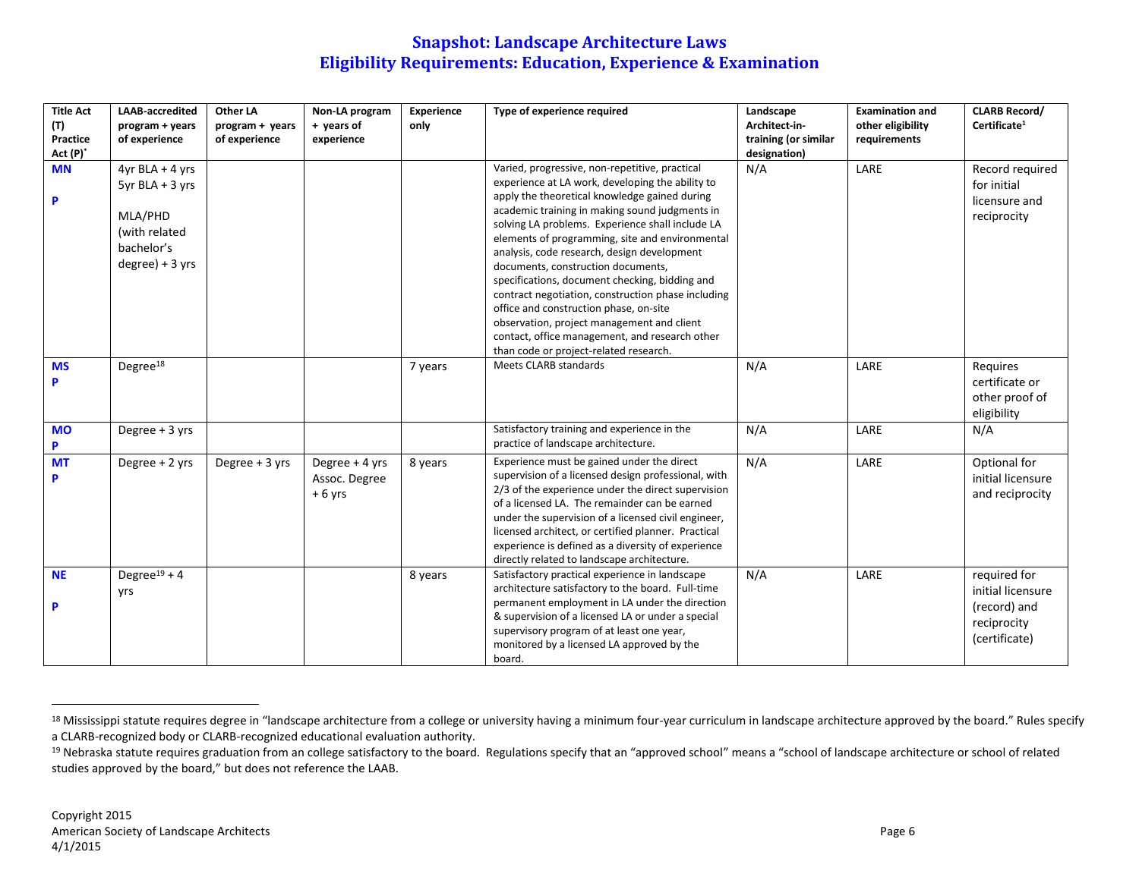| <b>Title Act</b><br>(T)<br>Practice<br>Act (P)* | <b>LAAB-accredited</b><br>program + years<br>of experience                                          | Other LA<br>program + years<br>of experience | Non-LA program<br>+ years of<br>experience  | <b>Experience</b><br>only | Type of experience required                                                                                                                                                                                                                                                                                                                                                                                                                                                                                                                                                                                                                                                                   | Landscape<br>Architect-in-<br>training (or similar<br>designation) | <b>Examination and</b><br>other eligibility<br>requirements | <b>CLARB Record/</b><br>Certificate <sup>1</sup>                                  |
|-------------------------------------------------|-----------------------------------------------------------------------------------------------------|----------------------------------------------|---------------------------------------------|---------------------------|-----------------------------------------------------------------------------------------------------------------------------------------------------------------------------------------------------------------------------------------------------------------------------------------------------------------------------------------------------------------------------------------------------------------------------------------------------------------------------------------------------------------------------------------------------------------------------------------------------------------------------------------------------------------------------------------------|--------------------------------------------------------------------|-------------------------------------------------------------|-----------------------------------------------------------------------------------|
| <b>MN</b><br>P                                  | $4yr BLA + 4 yrs$<br>5yr BLA + 3 yrs<br>MLA/PHD<br>(with related<br>bachelor's<br>$degree) + 3 vrs$ |                                              |                                             |                           | Varied, progressive, non-repetitive, practical<br>experience at LA work, developing the ability to<br>apply the theoretical knowledge gained during<br>academic training in making sound judgments in<br>solving LA problems. Experience shall include LA<br>elements of programming, site and environmental<br>analysis, code research, design development<br>documents, construction documents,<br>specifications, document checking, bidding and<br>contract negotiation, construction phase including<br>office and construction phase, on-site<br>observation, project management and client<br>contact, office management, and research other<br>than code or project-related research. | N/A                                                                | LARE                                                        | Record required<br>for initial<br>licensure and<br>reciprocity                    |
| <b>MS</b><br>P                                  | Degree <sup>18</sup>                                                                                |                                              |                                             | 7 years                   | Meets CLARB standards                                                                                                                                                                                                                                                                                                                                                                                                                                                                                                                                                                                                                                                                         | N/A                                                                | LARE                                                        | Requires<br>certificate or<br>other proof of<br>eligibility                       |
| <b>MO</b><br>P                                  | Degree $+3$ yrs                                                                                     |                                              |                                             |                           | Satisfactory training and experience in the<br>practice of landscape architecture.                                                                                                                                                                                                                                                                                                                                                                                                                                                                                                                                                                                                            | N/A                                                                | LARE                                                        | N/A                                                                               |
| <b>MT</b><br>P                                  | Degree + 2 yrs                                                                                      | Degree + 3 yrs                               | Degree + 4 yrs<br>Assoc. Degree<br>$+6$ yrs | 8 years                   | Experience must be gained under the direct<br>supervision of a licensed design professional, with<br>2/3 of the experience under the direct supervision<br>of a licensed LA. The remainder can be earned<br>under the supervision of a licensed civil engineer,<br>licensed architect, or certified planner. Practical<br>experience is defined as a diversity of experience<br>directly related to landscape architecture.                                                                                                                                                                                                                                                                   | N/A                                                                | LARE                                                        | Optional for<br>initial licensure<br>and reciprocity                              |
| <b>NE</b><br>P                                  | Degree <sup>19</sup> + 4<br>yrs                                                                     |                                              |                                             | 8 years                   | Satisfactory practical experience in landscape<br>architecture satisfactory to the board. Full-time<br>permanent employment in LA under the direction<br>& supervision of a licensed LA or under a special<br>supervisory program of at least one year,<br>monitored by a licensed LA approved by the<br>board.                                                                                                                                                                                                                                                                                                                                                                               | N/A                                                                | LARE                                                        | required for<br>initial licensure<br>(record) and<br>reciprocity<br>(certificate) |

<sup>&</sup>lt;sup>18</sup> Mississippi statute requires degree in "landscape architecture from a college or university having a minimum four-year curriculum in landscape architecture approved by the board." Rules specify a CLARB-recognized body or CLARB-recognized educational evaluation authority.

<sup>&</sup>lt;sup>19</sup> Nebraska statute requires graduation from an college satisfactory to the board. Regulations specify that an "approved school" means a "school of landscape architecture or school of related studies approved by the board," but does not reference the LAAB.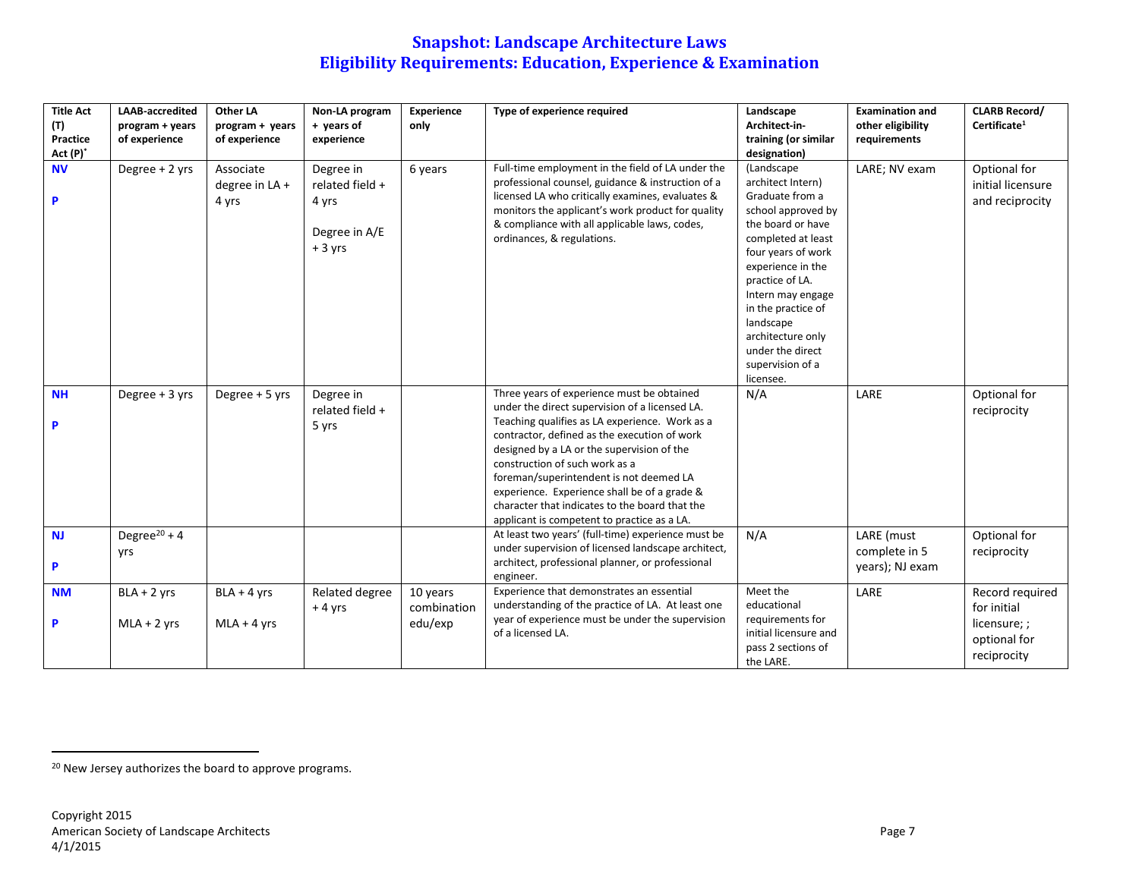| <b>Title Act</b> | <b>LAAB-accredited</b>   | Other LA        | Non-LA program  | <b>Experience</b> | Type of experience required                                                                    | Landscape                               | <b>Examination and</b> | <b>CLARB Record/</b>     |
|------------------|--------------------------|-----------------|-----------------|-------------------|------------------------------------------------------------------------------------------------|-----------------------------------------|------------------------|--------------------------|
| (T)              | program + years          | program + years | + years of      | only              |                                                                                                | Architect-in-                           | other eligibility      | Certificate <sup>1</sup> |
| Practice         | of experience            | of experience   | experience      |                   |                                                                                                | training (or similar                    | requirements           |                          |
| Act (P)*         |                          |                 |                 |                   |                                                                                                | designation)                            |                        |                          |
| <b>NV</b>        | Degree + 2 yrs           | Associate       | Degree in       | 6 years           | Full-time employment in the field of LA under the                                              | (Landscape                              | LARE; NV exam          | Optional for             |
|                  |                          | degree in LA +  | related field + |                   | professional counsel, guidance & instruction of a                                              | architect Intern)                       |                        | initial licensure        |
| P                |                          | 4 yrs           | 4 yrs           |                   | licensed LA who critically examines, evaluates &                                               | Graduate from a                         |                        | and reciprocity          |
|                  |                          |                 |                 |                   | monitors the applicant's work product for quality                                              | school approved by                      |                        |                          |
|                  |                          |                 | Degree in A/E   |                   | & compliance with all applicable laws, codes,                                                  | the board or have                       |                        |                          |
|                  |                          |                 | $+3$ yrs        |                   | ordinances, & regulations.                                                                     | completed at least                      |                        |                          |
|                  |                          |                 |                 |                   |                                                                                                | four years of work<br>experience in the |                        |                          |
|                  |                          |                 |                 |                   |                                                                                                | practice of LA.                         |                        |                          |
|                  |                          |                 |                 |                   |                                                                                                | Intern may engage                       |                        |                          |
|                  |                          |                 |                 |                   |                                                                                                | in the practice of                      |                        |                          |
|                  |                          |                 |                 |                   |                                                                                                | landscape                               |                        |                          |
|                  |                          |                 |                 |                   |                                                                                                | architecture only                       |                        |                          |
|                  |                          |                 |                 |                   |                                                                                                | under the direct                        |                        |                          |
|                  |                          |                 |                 |                   |                                                                                                | supervision of a                        |                        |                          |
|                  |                          |                 |                 |                   |                                                                                                | licensee.                               |                        |                          |
| <b>NH</b>        | Degree $+3$ yrs          | Degree + 5 yrs  | Degree in       |                   | Three years of experience must be obtained                                                     | N/A                                     | LARE                   | Optional for             |
|                  |                          |                 | related field + |                   | under the direct supervision of a licensed LA.                                                 |                                         |                        | reciprocity              |
| P                |                          |                 | 5 yrs           |                   | Teaching qualifies as LA experience. Work as a<br>contractor, defined as the execution of work |                                         |                        |                          |
|                  |                          |                 |                 |                   | designed by a LA or the supervision of the                                                     |                                         |                        |                          |
|                  |                          |                 |                 |                   | construction of such work as a                                                                 |                                         |                        |                          |
|                  |                          |                 |                 |                   | foreman/superintendent is not deemed LA                                                        |                                         |                        |                          |
|                  |                          |                 |                 |                   | experience. Experience shall be of a grade &                                                   |                                         |                        |                          |
|                  |                          |                 |                 |                   | character that indicates to the board that the                                                 |                                         |                        |                          |
|                  |                          |                 |                 |                   | applicant is competent to practice as a LA.                                                    |                                         |                        |                          |
| <b>NJ</b>        | Degree <sup>20</sup> + 4 |                 |                 |                   | At least two years' (full-time) experience must be                                             | N/A                                     | LARE (must             | Optional for             |
|                  | yrs                      |                 |                 |                   | under supervision of licensed landscape architect,                                             |                                         | complete in 5          | reciprocity              |
| P                |                          |                 |                 |                   | architect, professional planner, or professional                                               |                                         | years); NJ exam        |                          |
|                  |                          |                 |                 |                   | engineer.<br>Experience that demonstrates an essential                                         | Meet the                                |                        |                          |
| <b>NM</b>        | $BLA + 2$ yrs            | $BLA + 4$ yrs   | Related degree  | 10 years          | understanding of the practice of LA. At least one                                              | educational                             | LARE                   | Record required          |
|                  |                          |                 | $+4$ yrs        | combination       | year of experience must be under the supervision                                               | requirements for                        |                        | for initial              |
| <b>P</b>         | $MLA + 2$ yrs            | $MLA + 4$ yrs   |                 | edu/exp           | of a licensed LA.                                                                              | initial licensure and                   |                        | licensure;;              |
|                  |                          |                 |                 |                   |                                                                                                | pass 2 sections of                      |                        | optional for             |
|                  |                          |                 |                 |                   |                                                                                                | the LARE.                               |                        | reciprocity              |

<sup>&</sup>lt;sup>20</sup> New Jersey authorizes the board to approve programs.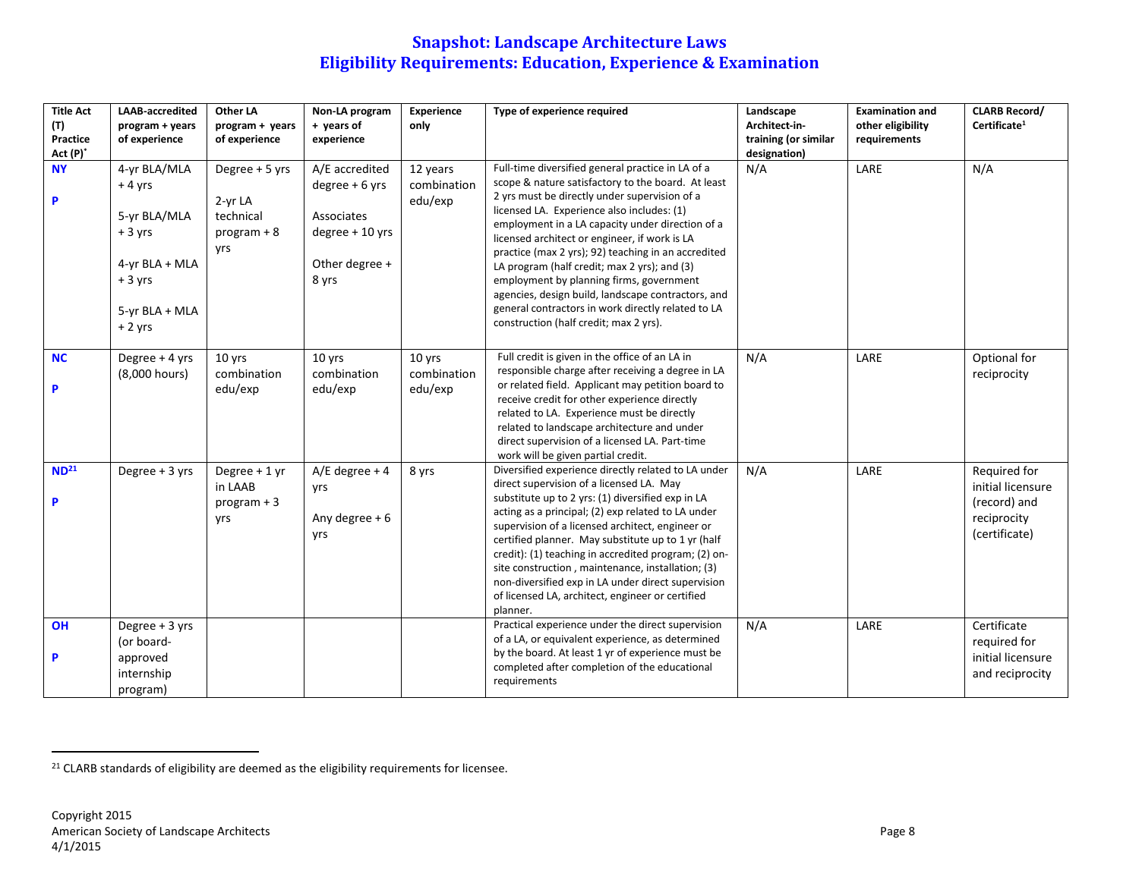| <b>Title Act</b><br>(T)<br>Practice<br>Act (P)* | <b>LAAB-accredited</b><br>program + years<br>of experience                                                       | Other LA<br>program + years<br>of experience                          | Non-LA program<br>+ years of<br>experience                                                       | <b>Experience</b><br>only          | Type of experience required                                                                                                                                                                                                                                                                                                                                                                                                                                                                                                                                                                                          | Landscape<br>Architect-in-<br>training (or similar<br>designation) | <b>Examination and</b><br>other eligibility<br>requirements | <b>CLARB Record/</b><br>Certificate <sup>1</sup>                                  |
|-------------------------------------------------|------------------------------------------------------------------------------------------------------------------|-----------------------------------------------------------------------|--------------------------------------------------------------------------------------------------|------------------------------------|----------------------------------------------------------------------------------------------------------------------------------------------------------------------------------------------------------------------------------------------------------------------------------------------------------------------------------------------------------------------------------------------------------------------------------------------------------------------------------------------------------------------------------------------------------------------------------------------------------------------|--------------------------------------------------------------------|-------------------------------------------------------------|-----------------------------------------------------------------------------------|
| <b>NY</b><br>P                                  | 4-yr BLA/MLA<br>$+4$ yrs<br>5-yr BLA/MLA<br>$+3$ yrs<br>4-yr BLA + MLA<br>$+3$ yrs<br>5-yr BLA + MLA<br>$+2$ yrs | Degree + 5 yrs<br>2-yr LA<br>technical<br>$program + 8$<br><b>vrs</b> | A/E accredited<br>$degree + 6$ yrs<br>Associates<br>$degree + 10$ yrs<br>Other degree +<br>8 yrs | 12 years<br>combination<br>edu/exp | Full-time diversified general practice in LA of a<br>scope & nature satisfactory to the board. At least<br>2 yrs must be directly under supervision of a<br>licensed LA. Experience also includes: (1)<br>employment in a LA capacity under direction of a<br>licensed architect or engineer, if work is LA<br>practice (max 2 yrs); 92) teaching in an accredited<br>LA program (half credit; max 2 yrs); and (3)<br>employment by planning firms, government<br>agencies, design build, landscape contractors, and<br>general contractors in work directly related to LA<br>construction (half credit; max 2 yrs). | N/A                                                                | LARE                                                        | N/A                                                                               |
| <b>NC</b><br>P                                  | Degree + 4 yrs<br>(8,000 hours)                                                                                  | 10 yrs<br>combination<br>edu/exp                                      | 10 yrs<br>combination<br>edu/exp                                                                 | 10 yrs<br>combination<br>edu/exp   | Full credit is given in the office of an LA in<br>responsible charge after receiving a degree in LA<br>or related field. Applicant may petition board to<br>receive credit for other experience directly<br>related to LA. Experience must be directly<br>related to landscape architecture and under<br>direct supervision of a licensed LA. Part-time<br>work will be given partial credit.                                                                                                                                                                                                                        | N/A                                                                | LARE                                                        | Optional for<br>reciprocity                                                       |
| ND <sup>21</sup><br>P                           | Degree $+3$ yrs                                                                                                  | Degree $+1$ yr<br>in LAAB<br>$program + 3$<br><b>vrs</b>              | $A/E$ degree + 4<br>yrs<br>Any degree $+6$<br>yrs                                                | 8 yrs                              | Diversified experience directly related to LA under<br>direct supervision of a licensed LA. May<br>substitute up to 2 yrs: (1) diversified exp in LA<br>acting as a principal; (2) exp related to LA under<br>supervision of a licensed architect, engineer or<br>certified planner. May substitute up to 1 yr (half<br>credit): (1) teaching in accredited program; (2) on-<br>site construction, maintenance, installation; (3)<br>non-diversified exp in LA under direct supervision<br>of licensed LA, architect, engineer or certified<br>planner.                                                              | N/A                                                                | LARE                                                        | Required for<br>initial licensure<br>(record) and<br>reciprocity<br>(certificate) |
| <b>OH</b><br>P                                  | Degree + 3 yrs<br>(or board-<br>approved<br>internship<br>program)                                               |                                                                       |                                                                                                  |                                    | Practical experience under the direct supervision<br>of a LA, or equivalent experience, as determined<br>by the board. At least 1 yr of experience must be<br>completed after completion of the educational<br>requirements                                                                                                                                                                                                                                                                                                                                                                                          | N/A                                                                | LARE                                                        | Certificate<br>required for<br>initial licensure<br>and reciprocity               |

<sup>&</sup>lt;sup>21</sup> CLARB standards of eligibility are deemed as the eligibility requirements for licensee.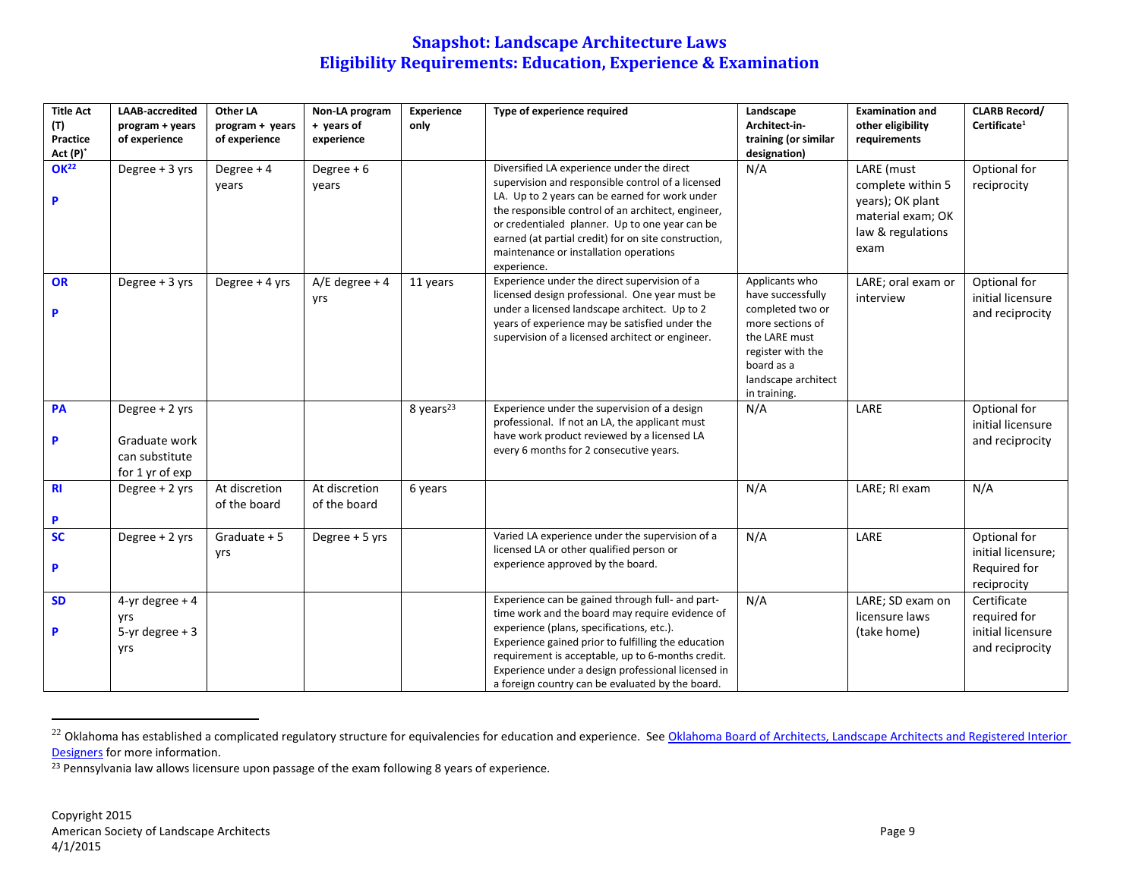| <b>Title Act</b><br>(T)<br>Practice<br>Act (P)* | <b>LAAB-accredited</b><br>program + years<br>of experience           | Other LA<br>program + years<br>of experience | Non-LA program<br>+ years of<br>experience | Experience<br>only    | Type of experience required                                                                                                                                                                                                                                                                                                                                                | Landscape<br>Architect-in-<br>training (or similar<br>designation)                                                                                                     | <b>Examination and</b><br>other eligibility<br>requirements                                           | <b>CLARB Record/</b><br>Certificate <sup>1</sup>                    |
|-------------------------------------------------|----------------------------------------------------------------------|----------------------------------------------|--------------------------------------------|-----------------------|----------------------------------------------------------------------------------------------------------------------------------------------------------------------------------------------------------------------------------------------------------------------------------------------------------------------------------------------------------------------------|------------------------------------------------------------------------------------------------------------------------------------------------------------------------|-------------------------------------------------------------------------------------------------------|---------------------------------------------------------------------|
| OK <sup>22</sup><br>P                           | Degree + 3 yrs                                                       | Degree + 4<br>years                          | Degree $+6$<br>years                       |                       | Diversified LA experience under the direct<br>supervision and responsible control of a licensed<br>LA. Up to 2 years can be earned for work under<br>the responsible control of an architect, engineer,<br>or credentialed planner. Up to one year can be<br>earned (at partial credit) for on site construction,<br>maintenance or installation operations<br>experience. | N/A                                                                                                                                                                    | LARE (must<br>complete within 5<br>years); OK plant<br>material exam; OK<br>law & regulations<br>exam | Optional for<br>reciprocity                                         |
| OR<br>P                                         | Degree + 3 yrs                                                       | Degree + 4 yrs                               | $A/E$ degree + 4<br>yrs                    | 11 years              | Experience under the direct supervision of a<br>licensed design professional. One year must be<br>under a licensed landscape architect. Up to 2<br>years of experience may be satisfied under the<br>supervision of a licensed architect or engineer.                                                                                                                      | Applicants who<br>have successfully<br>completed two or<br>more sections of<br>the LARE must<br>register with the<br>board as a<br>landscape architect<br>in training. | LARE; oral exam or<br>interview                                                                       | Optional for<br>initial licensure<br>and reciprocity                |
| <b>PA</b><br>P                                  | Degree + 2 yrs<br>Graduate work<br>can substitute<br>for 1 yr of exp |                                              |                                            | 8 years <sup>23</sup> | Experience under the supervision of a design<br>professional. If not an LA, the applicant must<br>have work product reviewed by a licensed LA<br>every 6 months for 2 consecutive years.                                                                                                                                                                                   | N/A                                                                                                                                                                    | LARE                                                                                                  | Optional for<br>initial licensure<br>and reciprocity                |
| R <sub>l</sub><br>P                             | Degree + 2 yrs                                                       | At discretion<br>of the board                | At discretion<br>of the board              | 6 years               |                                                                                                                                                                                                                                                                                                                                                                            | N/A                                                                                                                                                                    | LARE; RI exam                                                                                         | N/A                                                                 |
| SC<br>P                                         | Degree + 2 yrs                                                       | Graduate $+5$<br>yrs                         | Degree + 5 yrs                             |                       | Varied LA experience under the supervision of a<br>licensed LA or other qualified person or<br>experience approved by the board.                                                                                                                                                                                                                                           | N/A                                                                                                                                                                    | LARE                                                                                                  | Optional for<br>initial licensure;<br>Required for<br>reciprocity   |
| <b>SD</b><br>P                                  | 4-yr degree $+4$<br>yrs<br>$5-yr$ degree + 3<br>yrs                  |                                              |                                            |                       | Experience can be gained through full- and part-<br>time work and the board may require evidence of<br>experience (plans, specifications, etc.).<br>Experience gained prior to fulfilling the education<br>requirement is acceptable, up to 6-months credit.<br>Experience under a design professional licensed in<br>a foreign country can be evaluated by the board.     | N/A                                                                                                                                                                    | LARE; SD exam on<br>licensure laws<br>(take home)                                                     | Certificate<br>required for<br>initial licensure<br>and reciprocity |

<sup>&</sup>lt;sup>22</sup> Oklahoma has established a complicated regulatory structure for equivalencies for education and experience. See <u>Oklahoma Board of Architects, Landscape Architects and Registered Interior</u> [Designers](http://www.architects.state.ok.us/) for more information.

 $\frac{23}{2}$  Pennsylvania law allows licensure upon passage of the exam following 8 years of experience.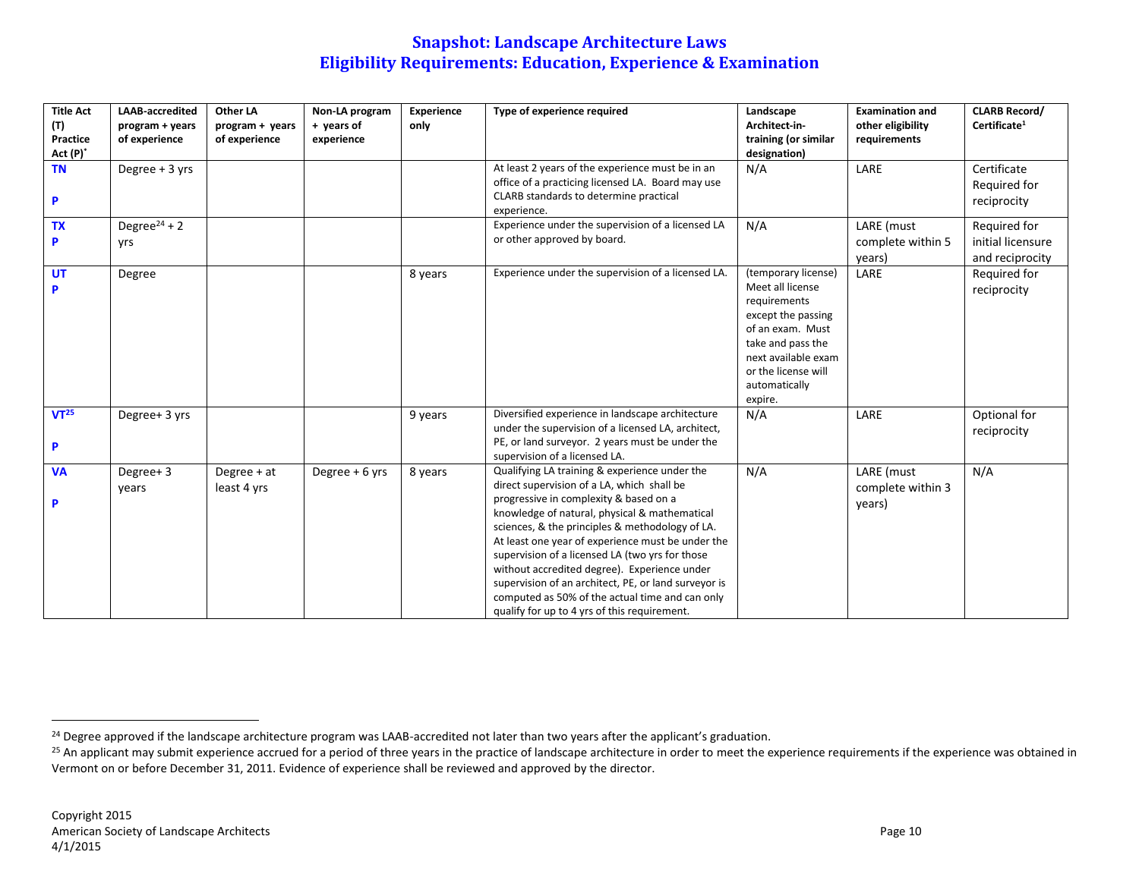| <b>Title Act</b><br>(T)<br>Practice<br>$Act(P)^*$ | <b>LAAB-accredited</b><br>program + years<br>of experience | Other LA<br>program + years<br>of experience | Non-LA program<br>+ years of<br>experience | Experience<br>only | Type of experience required                                                                                                                                                                                                                                                                                                                                                                                                                                                                                                                                  | Landscape<br>Architect-in-<br>training (or similar<br>designation)                                                                                                                               | <b>Examination and</b><br>other eligibility<br>requirements | <b>CLARB Record/</b><br>Certificate <sup>1</sup>     |
|---------------------------------------------------|------------------------------------------------------------|----------------------------------------------|--------------------------------------------|--------------------|--------------------------------------------------------------------------------------------------------------------------------------------------------------------------------------------------------------------------------------------------------------------------------------------------------------------------------------------------------------------------------------------------------------------------------------------------------------------------------------------------------------------------------------------------------------|--------------------------------------------------------------------------------------------------------------------------------------------------------------------------------------------------|-------------------------------------------------------------|------------------------------------------------------|
| <b>TN</b><br>P                                    | Degree $+3$ yrs                                            |                                              |                                            |                    | At least 2 years of the experience must be in an<br>office of a practicing licensed LA. Board may use<br>CLARB standards to determine practical<br>experience.                                                                                                                                                                                                                                                                                                                                                                                               | N/A                                                                                                                                                                                              | LARE                                                        | Certificate<br>Required for<br>reciprocity           |
| <b>TX</b>                                         | Degree <sup>24</sup> + 2<br>yrs                            |                                              |                                            |                    | Experience under the supervision of a licensed LA<br>or other approved by board.                                                                                                                                                                                                                                                                                                                                                                                                                                                                             | N/A                                                                                                                                                                                              | LARE (must<br>complete within 5<br>years)                   | Required for<br>initial licensure<br>and reciprocity |
| <b>UT</b>                                         | Degree                                                     |                                              |                                            | 8 years            | Experience under the supervision of a licensed LA.                                                                                                                                                                                                                                                                                                                                                                                                                                                                                                           | (temporary license)<br>Meet all license<br>requirements<br>except the passing<br>of an exam. Must<br>take and pass the<br>next available exam<br>or the license will<br>automatically<br>expire. | LARE                                                        | Required for<br>reciprocity                          |
| VT <sup>25</sup><br>P                             | Degree+ 3 yrs                                              |                                              |                                            | 9 years            | Diversified experience in landscape architecture<br>under the supervision of a licensed LA, architect,<br>PE, or land surveyor. 2 years must be under the<br>supervision of a licensed LA.                                                                                                                                                                                                                                                                                                                                                                   | N/A                                                                                                                                                                                              | LARE                                                        | Optional for<br>reciprocity                          |
| <b>VA</b><br>P                                    | Degree+3<br>years                                          | Degree + at<br>least 4 yrs                   | Degree + 6 yrs                             | 8 years            | Qualifying LA training & experience under the<br>direct supervision of a LA, which shall be<br>progressive in complexity & based on a<br>knowledge of natural, physical & mathematical<br>sciences, & the principles & methodology of LA.<br>At least one year of experience must be under the<br>supervision of a licensed LA (two yrs for those<br>without accredited degree). Experience under<br>supervision of an architect, PE, or land surveyor is<br>computed as 50% of the actual time and can only<br>qualify for up to 4 yrs of this requirement. | N/A                                                                                                                                                                                              | LARE (must<br>complete within 3<br>years)                   | N/A                                                  |

<sup>&</sup>lt;sup>24</sup> Degree approved if the landscape architecture program was LAAB-accredited not later than two years after the applicant's graduation.

<sup>&</sup>lt;sup>25</sup> An applicant may submit experience accrued for a period of three years in the practice of landscape architecture in order to meet the experience requirements if the experience was obtained in Vermont on or before December 31, 2011. Evidence of experience shall be reviewed and approved by the director.